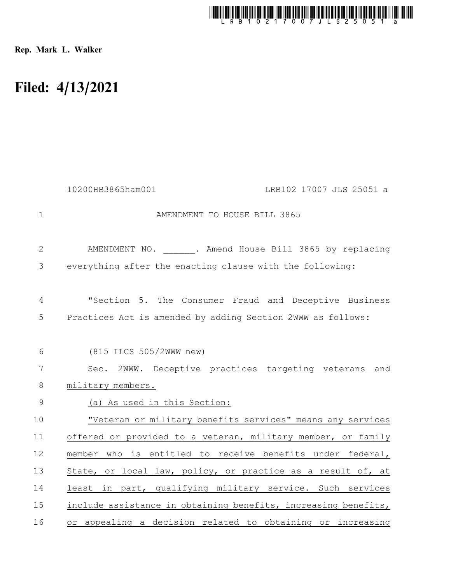

Rep. Mark L. Walker

## Filed: 4/13/2021

|              | 10200HB3865ham001                                                                                                    | LRB102 17007 JLS 25051 a |
|--------------|----------------------------------------------------------------------------------------------------------------------|--------------------------|
| $\mathbf 1$  | AMENDMENT TO HOUSE BILL 3865                                                                                         |                          |
| $\mathbf{2}$ | AMENDMENT NO. . Amend House Bill 3865 by replacing                                                                   |                          |
| 3            | everything after the enacting clause with the following:                                                             |                          |
| 4<br>5       | "Section 5. The Consumer Fraud and Deceptive Business<br>Practices Act is amended by adding Section 2WWW as follows: |                          |
| 6            | (815 ILCS 505/2WWW new)                                                                                              |                          |
| 7            | Sec. 2WWW. Deceptive practices targeting veterans and                                                                |                          |
| 8            | military members.                                                                                                    |                          |
| 9            | (a) As used in this Section:                                                                                         |                          |
| 10           | "Veteran or military benefits services" means any services                                                           |                          |
| 11           | offered or provided to a veteran, military member, or family                                                         |                          |
| 12           | member who is entitled to receive benefits under federal,                                                            |                          |
| 13           | State, or local law, policy, or practice as a result of, at                                                          |                          |
| 14           | least in part, qualifying military service. Such services                                                            |                          |
| 15           | include assistance in obtaining benefits, increasing benefits,                                                       |                          |
| 16           | or appealing a decision related to obtaining or increasing                                                           |                          |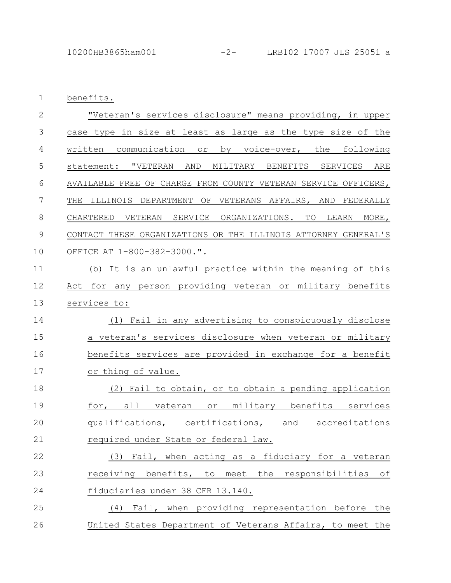1 benefits.

| $\overline{2}$ | "Veteran's services disclosure" means providing, in upper                 |
|----------------|---------------------------------------------------------------------------|
| 3              | case type in size at least as large as the type size of the               |
| 4              | written communication or by voice-over, the following                     |
| 5              | statement: "VETERAN AND MILITARY BENEFITS SERVICES ARE                    |
| $6\,$          | AVAILABLE FREE OF CHARGE FROM COUNTY VETERAN SERVICE OFFICERS,            |
| 7              | THE ILLINOIS<br>DEPARTMENT OF VETERANS AFFAIRS, AND FEDERALLY             |
| $\,8\,$        | ORGANIZATIONS.<br>TO<br>MORE,<br>CHARTERED<br>VETERAN<br>SERVICE<br>LEARN |
| $\mathcal{G}$  | CONTACT THESE ORGANIZATIONS OR THE ILLINOIS ATTORNEY GENERAL'S            |
| 10             | OFFICE AT 1-800-382-3000.".                                               |
| 11             | (b) It is an unlawful practice within the meaning of this                 |
| 12             | Act for any person providing veteran or military benefits                 |
| 13             | services to:                                                              |
| 14             | (1) Fail in any advertising to conspicuously disclose                     |
| 15             | a veteran's services disclosure when veteran or military                  |
| 16             | benefits services are provided in exchange for a benefit                  |
| 17             | or thing of value.                                                        |
| 18             | (2) Fail to obtain, or to obtain a pending application                    |
| 19             | for, all veteran or military benefits services                            |
| 20             | qualifications, certifications, and accreditations                        |
| 21             | required under State or federal law.                                      |
| 22             | (3) Fail, when acting as a fiduciary for a veteran                        |
| 23             | receiving benefits, to meet the responsibilities of                       |
| 24             | fiduciaries under 38 CFR 13.140.                                          |
| 25             | (4) Fail, when providing representation before the                        |
| 26             | United States Department of Veterans Affairs, to meet the                 |